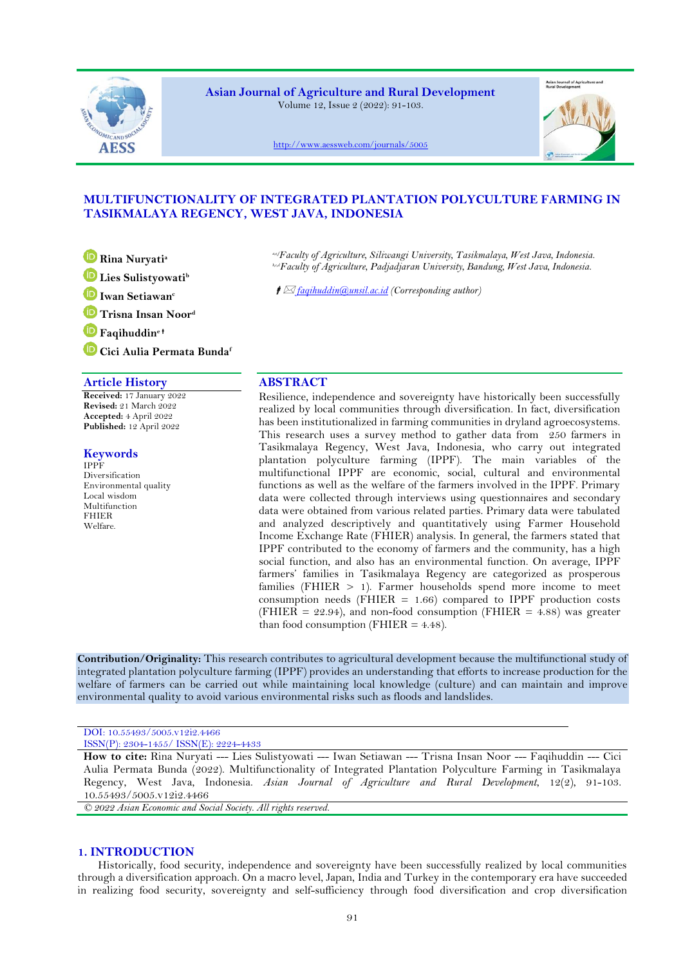

**Asian Journal of Agriculture and Rural Development** Volume 12, Issue 2 (2022): 91-103.



<http://www.aessweb.com/journals/5005>

# **MULTIFUNCTIONALITY OF INTEGRATED PLANTATION POLYCULTURE FARMING IN TASIKMALAYA REGENCY, WEST JAVA, INDONESIA**

**Rina Nuryati<sup>a</sup>**

**Lies Sulistyowati<sup>b</sup>**

**Iwan Setiawan<sup>c</sup>**

**Trisna Insan Noor<sup>d</sup>**

**Faqihuddin<sup>e</sup>**

**Cici Aulia Permata Bunda<sup>f</sup>**

# **Article History ABSTRACT**

**Received:** 17 January 2022 **Revised:** 21 March 2022 **Accepted:** 4 April 2022 **Published:** 12 April 2022

## **Keywords**

IPPF Diversification Environmental quality Local wisdom Multifunction FHIER Welfare.

*a,e,fFaculty of Agriculture, Siliwangi University, Tasikmalaya, West Java, Indonesia. b,c,dFaculty of Agriculture, Padjadjaran University, Bandung, West Java, Indonesia.*

*<i>f* ⊠ <u>faqihuddin@unsil.ac.id</u> (Corresponding author)

Resilience, independence and sovereignty have historically been successfully realized by local communities through diversification. In fact, diversification has been institutionalized in farming communities in dryland agroecosystems. This research uses a survey method to gather data from 250 farmers in Tasikmalaya Regency, West Java, Indonesia, who carry out integrated plantation polyculture farming (IPPF). The main variables of the multifunctional IPPF are economic, social, cultural and environmental functions as well as the welfare of the farmers involved in the IPPF. Primary data were collected through interviews using questionnaires and secondary data were obtained from various related parties. Primary data were tabulated and analyzed descriptively and quantitatively using Farmer Household Income Exchange Rate (FHIER) analysis. In general, the farmers stated that IPPF contributed to the economy of farmers and the community, has a high social function, and also has an environmental function. On average, IPPF farmers' families in Tasikmalaya Regency are categorized as prosperous families (FHIER  $> 1$ ). Farmer households spend more income to meet consumption needs (FHIER = 1.66) compared to IPPF production costs (FHIER =  $22.94$ ), and non-food consumption (FHIER =  $4.88$ ) was greater than food consumption ( $FHIER = 4.48$ ).

**Contribution/Originality:** This research contributes to agricultural development because the multifunctional study of integrated plantation polyculture farming (IPPF) provides an understanding that efforts to increase production for the welfare of farmers can be carried out while maintaining local knowledge (culture) and can maintain and improve environmental quality to avoid various environmental risks such as floods and landslides.

### DOI: 10.55493/5005.v12i2.4466 ISSN(P): 2304-1455/ ISSN(E): 2224-4433

**How to cite:** Rina Nuryati --- Lies Sulistyowati --- Iwan Setiawan --- Trisna Insan Noor --- Faqihuddin --- Cici Aulia Permata Bunda (2022). Multifunctionality of Integrated Plantation Polyculture Farming in Tasikmalaya Regency, West Java, Indonesia. *Asian Journal of Agriculture and Rural Development*, 12(2), 91-103. 10.55493/5005.v12i2.4466

*© 2022 Asian Economic and Social Society. All rights reserved.*

## **1. INTRODUCTION**

Historically, food security, independence and sovereignty have been successfully realized by local communities through a diversification approach. On a macro level, Japan, India and Turkey in the contemporary era have succeeded in realizing food security, sovereignty and self-sufficiency through food diversification and crop diversification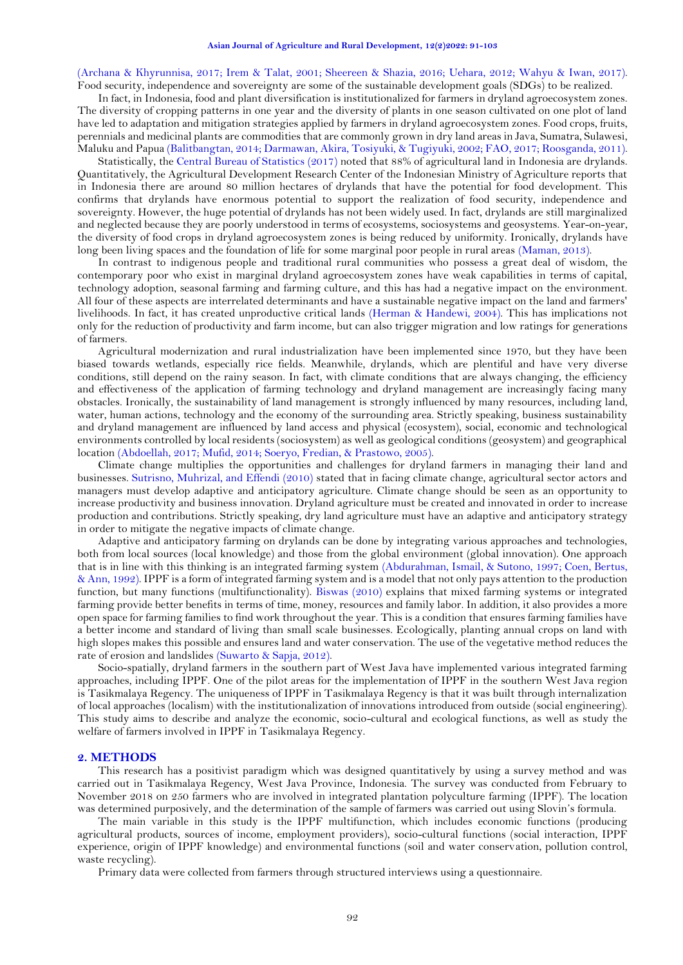[\(Archana & Khyrunnisa, 2017;](#page-11-0) [Irem & Talat, 2001;](#page-11-1) [Sheereen & Shazia, 2016;](#page-12-0) [Uehara, 2012;](#page-12-1) [Wahyu & Iwan, 2017\)](#page-12-2). Food security, independence and sovereignty are some of the sustainable development goals (SDGs) to be realized.

In fact, in Indonesia, food and plant diversification is institutionalized for farmers in dryland agroecosystem zones. The diversity of cropping patterns in one year and the diversity of plants in one season cultivated on one plot of land have led to adaptation and mitigation strategies applied by farmers in dryland agroecosystem zones. Food crops, fruits, perennials and medicinal plants are commodities that are commonly grown in dry land areas in Java, Sumatra, Sulawesi, Maluku and Papua [\(Balitbangtan, 2014;](#page-11-2) [Darmawan, Akira, Tosiyuki, & Tugiyuki, 2002;](#page-11-3) [FAO, 2017;](#page-11-4) [Roosganda, 2011\)](#page-11-5).

Statistically, the [Central Bureau of Statistics \(2017\)](#page-11-6) noted that 88% of agricultural land in Indonesia are drylands. Quantitatively, the Agricultural Development Research Center of the Indonesian Ministry of Agriculture reports that in Indonesia there are around 80 million hectares of drylands that have the potential for food development. This confirms that drylands have enormous potential to support the realization of food security, independence and sovereignty. However, the huge potential of drylands has not been widely used. In fact, drylands are still marginalized and neglected because they are poorly understood in terms of ecosystems, sociosystems and geosystems. Year-on-year, the diversity of food crops in dryland agroecosystem zones is being reduced by uniformity. Ironically, drylands have long been living spaces and the foundation of life for some marginal poor people in rural areas [\(Maman, 2013\)](#page-11-7).

In contrast to indigenous people and traditional rural communities who possess a great deal of wisdom, the contemporary poor who exist in marginal dryland agroecosystem zones have weak capabilities in terms of capital, technology adoption, seasonal farming and farming culture, and this has had a negative impact on the environment. All four of these aspects are interrelated determinants and have a sustainable negative impact on the land and farmers' livelihoods. In fact, it has created unproductive critical lands [\(Herman & Handewi, 2004\)](#page-11-8). This has implications not only for the reduction of productivity and farm income, but can also trigger migration and low ratings for generations of farmers.

Agricultural modernization and rural industrialization have been implemented since 1970, but they have been biased towards wetlands, especially rice fields. Meanwhile, drylands, which are plentiful and have very diverse conditions, still depend on the rainy season. In fact, with climate conditions that are always changing, the efficiency and effectiveness of the application of farming technology and dryland management are increasingly facing many obstacles. Ironically, the sustainability of land management is strongly influenced by many resources, including land, water, human actions, technology and the economy of the surrounding area. Strictly speaking, business sustainability and dryland management are influenced by land access and physical (ecosystem), social, economic and technological environments controlled by local residents (sociosystem) as well as geological conditions (geosystem) and geographical location [\(Abdoellah, 2017;](#page-11-9) [Mufid, 2014;](#page-11-10) [Soeryo, Fredian, & Prastowo, 2005\)](#page-12-3).

Climate change multiplies the opportunities and challenges for dryland farmers in managing their land and businesses. [Sutrisno, Muhrizal, and Effendi \(2010\)](#page-12-4) stated that in facing climate change, agricultural sector actors and managers must develop adaptive and anticipatory agriculture. Climate change should be seen as an opportunity to increase productivity and business innovation. Dryland agriculture must be created and innovated in order to increase production and contributions. Strictly speaking, dry land agriculture must have an adaptive and anticipatory strategy in order to mitigate the negative impacts of climate change.

Adaptive and anticipatory farming on drylands can be done by integrating various approaches and technologies, both from local sources (local knowledge) and those from the global environment (global innovation). One approach that is in line with this thinking is an integrated farming system [\(Abdurahman, Ismail, & Sutono, 1997;](#page-11-11) [Coen, Bertus,](#page-11-12)  [& Ann, 1992\)](#page-11-12). IPPF is a form of integrated farming system and is a model that not only pays attention to the production function, but many functions (multifunctionality). [Biswas \(2010\)](#page-11-13) explains that mixed farming systems or integrated farming provide better benefits in terms of time, money, resources and family labor. In addition, it also provides a more open space for farming families to find work throughout the year. This is a condition that ensures farming families have a better income and standard of living than small scale businesses. Ecologically, planting annual crops on land with high slopes makes this possible and ensures land and water conservation. The use of the vegetative method reduces the rate of erosion and landslides [\(Suwarto & Sapja, 2012\)](#page-12-5).

Socio-spatially, dryland farmers in the southern part of West Java have implemented various integrated farming approaches, including IPPF. One of the pilot areas for the implementation of IPPF in the southern West Java region is Tasikmalaya Regency. The uniqueness of IPPF in Tasikmalaya Regency is that it was built through internalization of local approaches (localism) with the institutionalization of innovations introduced from outside (social engineering). This study aims to describe and analyze the economic, socio-cultural and ecological functions, as well as study the welfare of farmers involved in IPPF in Tasikmalaya Regency.

#### **2. METHODS**

This research has a positivist paradigm which was designed quantitatively by using a survey method and was carried out in Tasikmalaya Regency, West Java Province, Indonesia. The survey was conducted from February to November 2018 on 250 farmers who are involved in integrated plantation polyculture farming (IPPF). The location was determined purposively, and the determination of the sample of farmers was carried out using Slovin's formula.

The main variable in this study is the IPPF multifunction, which includes economic functions (producing agricultural products, sources of income, employment providers), socio-cultural functions (social interaction, IPPF experience, origin of IPPF knowledge) and environmental functions (soil and water conservation, pollution control, waste recycling).

Primary data were collected from farmers through structured interviews using a questionnaire.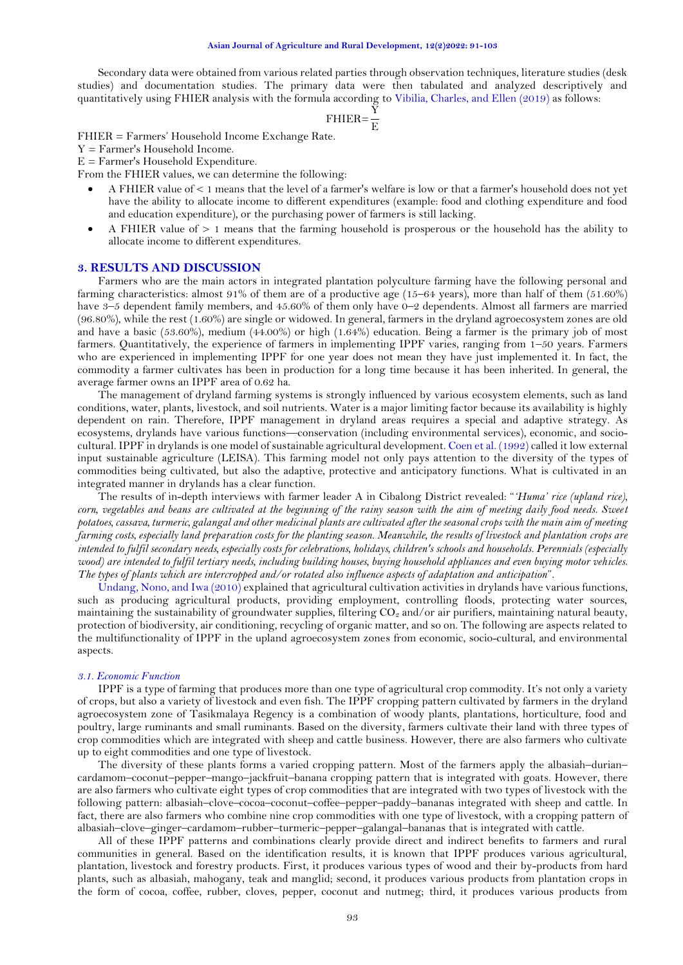Secondary data were obtained from various related parties through observation techniques, literature studies (desk studies) and documentation studies. The primary data were then tabulated and analyzed descriptively and quantitatively using FHIER analysis with the formula according to [Vibilia, Charles, and Ellen \(2019\)](#page-12-6) as follows:

$$
FHIER = \frac{Y}{E}
$$

FHIER = Farmers' Household Income Exchange Rate.

Y = Farmer's Household Income.

 $E = \text{Farmer's Household Expenditure.}$ 

From the FHIER values, we can determine the following:

- A FHIER value of < 1 means that the level of a farmer's welfare is low or that a farmer's household does not yet have the ability to allocate income to different expenditures (example: food and clothing expenditure and food and education expenditure), or the purchasing power of farmers is still lacking.
- A FHIER value of > 1 means that the farming household is prosperous or the household has the ability to allocate income to different expenditures.

#### **3. RESULTS AND DISCUSSION**

Farmers who are the main actors in integrated plantation polyculture farming have the following personal and farming characteristics: almost 91% of them are of a productive age (15–64 years), more than half of them (51.60%) have 3-5 dependent family members, and 45.60% of them only have 0-2 dependents. Almost all farmers are married (96.80%), while the rest (1.60%) are single or widowed. In general, farmers in the dryland agroecosystem zones are old and have a basic (53.60%), medium (44.00%) or high (1.64%) education. Being a farmer is the primary job of most farmers. Quantitatively, the experience of farmers in implementing IPPF varies, ranging from 1–50 years. Farmers who are experienced in implementing IPPF for one year does not mean they have just implemented it. In fact, the commodity a farmer cultivates has been in production for a long time because it has been inherited. In general, the average farmer owns an IPPF area of 0.62 ha.

The management of dryland farming systems is strongly influenced by various ecosystem elements, such as land conditions, water, plants, livestock, and soil nutrients. Water is a major limiting factor because its availability is highly dependent on rain. Therefore, IPPF management in dryland areas requires a special and adaptive strategy. As ecosystems, drylands have various functions—conservation (including environmental services), economic, and sociocultural. IPPF in drylands is one model of sustainable agricultural development[. Coen et al. \(1992\)](#page-11-12) called it low external input sustainable agriculture (LEISA). This farming model not only pays attention to the diversity of the types of commodities being cultivated, but also the adaptive, protective and anticipatory functions. What is cultivated in an integrated manner in drylands has a clear function.

The results of in-depth interviews with farmer leader A in Cibalong District revealed: "*'Huma' rice (upland rice),*  corn, vegetables and beans are cultivated at the beginning of the rainy season with the aim of meeting daily food needs. Sweet *potatoes, cassava, turmeric, galangal and other medicinal plants are cultivated after the seasonal crops with the main aim of meeting farming costs, especially land preparation costs for the planting season. Meanwhile, the results of livestock and plantation crops are intended to fulfil secondary needs, especially costs for celebrations, holidays, children's schools and households. Perennials (especially wood) are intended to fulfil tertiary needs, including building houses, buying household appliances and even buying motor vehicles. The types of plants which are intercropped and/or rotated also influence aspects of adaptation and anticipation*".

[Undang, Nono, and Iwa \(2010\)](#page-12-7) explained that agricultural cultivation activities in drylands have various functions, such as producing agricultural products, providing employment, controlling floods, protecting water sources, maintaining the sustainability of groundwater supplies, filtering  $CO<sub>2</sub>$  and/or air purifiers, maintaining natural beauty, protection of biodiversity, air conditioning, recycling of organic matter, and so on. The following are aspects related to the multifunctionality of IPPF in the upland agroecosystem zones from economic, socio-cultural, and environmental aspects.

#### *3.1. Economic Function*

IPPF is a type of farming that produces more than one type of agricultural crop commodity. It's not only a variety of crops, but also a variety of livestock and even fish. The IPPF cropping pattern cultivated by farmers in the dryland agroecosystem zone of Tasikmalaya Regency is a combination of woody plants, plantations, horticulture, food and poultry, large ruminants and small ruminants. Based on the diversity, farmers cultivate their land with three types of crop commodities which are integrated with sheep and cattle business. However, there are also farmers who cultivate up to eight commodities and one type of livestock.

The diversity of these plants forms a varied cropping pattern. Most of the farmers apply the albasiah–durian– cardamom–coconut–pepper–mango–jackfruit–banana cropping pattern that is integrated with goats. However, there are also farmers who cultivate eight types of crop commodities that are integrated with two types of livestock with the following pattern: albasiah–clove–cocoa–coconut–coffee–pepper–paddy–bananas integrated with sheep and cattle. In fact, there are also farmers who combine nine crop commodities with one type of livestock, with a cropping pattern of albasiah–clove–ginger–cardamom–rubber–turmeric–pepper–galangal–bananas that is integrated with cattle.

All of these IPPF patterns and combinations clearly provide direct and indirect benefits to farmers and rural communities in general. Based on the identification results, it is known that IPPF produces various agricultural, plantation, livestock and forestry products. First, it produces various types of wood and their by-products from hard plants, such as albasiah, mahogany, teak and manglid; second, it produces various products from plantation crops in the form of cocoa, coffee, rubber, cloves, pepper, coconut and nutmeg; third, it produces various products from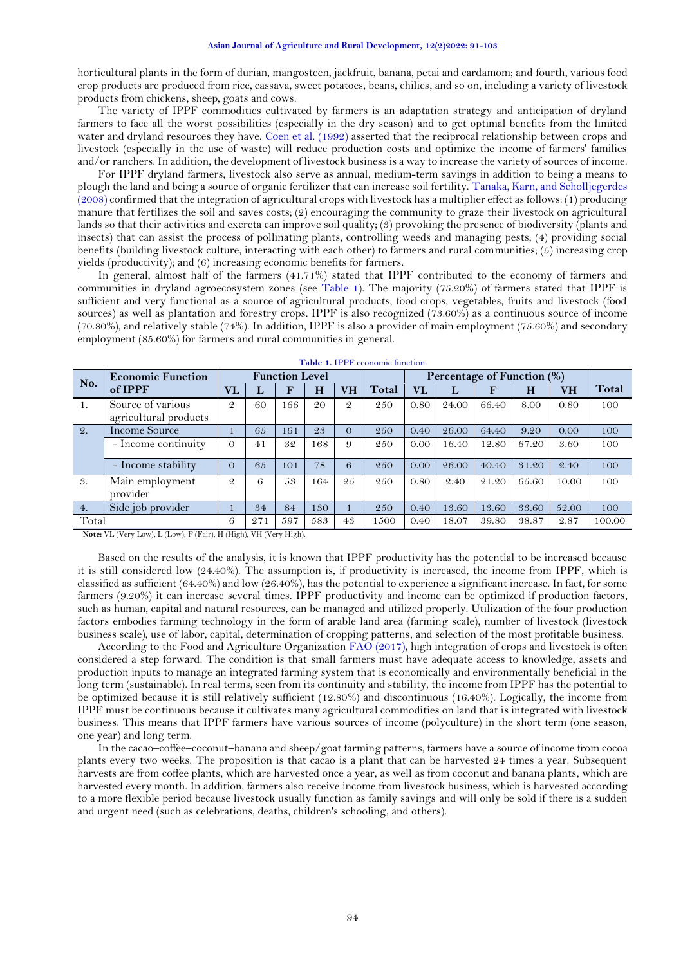horticultural plants in the form of durian, mangosteen, jackfruit, banana, petai and cardamom; and fourth, various food crop products are produced from rice, cassava, sweet potatoes, beans, chilies, and so on, including a variety of livestock products from chickens, sheep, goats and cows.

The variety of IPPF commodities cultivated by farmers is an adaptation strategy and anticipation of dryland farmers to face all the worst possibilities (especially in the dry season) and to get optimal benefits from the limited water and dryland resources they have. [Coen et al. \(1992\)](#page-11-12) asserted that the reciprocal relationship between crops and livestock (especially in the use of waste) will reduce production costs and optimize the income of farmers' families and/or ranchers. In addition, the development of livestock business is a way to increase the variety of sources of income.

For IPPF dryland farmers, livestock also serve as annual, medium-term savings in addition to being a means to plough the land and being a source of organic fertilizer that can increase soil fertility[. Tanaka, Karn, and Scholljegerdes](#page-12-8)  [\(2008\)](#page-12-8) confirmed that the integration of agricultural crops with livestock has a multiplier effect as follows: (1) producing manure that fertilizes the soil and saves costs; (2) encouraging the community to graze their livestock on agricultural lands so that their activities and excreta can improve soil quality; (3) provoking the presence of biodiversity (plants and insects) that can assist the process of pollinating plants, controlling weeds and managing pests; (4) providing social benefits (building livestock culture, interacting with each other) to farmers and rural communities; (5) increasing crop yields (productivity); and (6) increasing economic benefits for farmers.

In general, almost half of the farmers (41.71%) stated that IPPF contributed to the economy of farmers and communities in dryland agroecosystem zones (see [Table 1\)](#page-3-0). The majority (75.20%) of farmers stated that IPPF is sufficient and very functional as a source of agricultural products, food crops, vegetables, fruits and livestock (food sources) as well as plantation and forestry crops. IPPF is also recognized (73.60%) as a continuous source of income (70.80%), and relatively stable (74%). In addition, IPPF is also a provider of main employment (75.60%) and secondary employment (85.60%) for farmers and rural communities in general.

<span id="page-3-0"></span>

| <b>Economic Function</b><br>No. |                             | <b>Function Level</b>  |     |     |     |               |       | Percentage of Function (%) |       |             |       |           |        |
|---------------------------------|-----------------------------|------------------------|-----|-----|-----|---------------|-------|----------------------------|-------|-------------|-------|-----------|--------|
|                                 | of IPPF                     | $\mathbf{V}\mathbf{L}$ | п   | F   | H   | <b>VH</b>     | Total | <b>VL</b>                  | ы     | $\mathbf F$ | H     | <b>VH</b> | Total  |
| 1.                              | Source of various           | $\mathcal{Q}$          | 60  | 166 | 20  | $\mathcal{Q}$ | 250   | 0.80                       | 24.00 | 66.40       | 8.00  | 0.80      | 100    |
|                                 | agricultural products       |                        |     |     |     |               |       |                            |       |             |       |           |        |
| 2.                              | Income Source               |                        | 65  | 161 | 23  | $\Omega$      | 250   | 0.40                       | 26.00 | 64.40       | 9.20  | 0.00      | 100    |
|                                 | - Income continuity         | $\Omega$               | 41  | 32  | 168 | 9             | 250   | 0.00                       | 16.40 | 12.80       | 67.20 | 3.60      | 100    |
|                                 | - Income stability          | $\Omega$               | 65  | 101 | 78  | 6             | 250   | 0.00                       | 26.00 | 40.40       | 31.20 | 2.40      | 100    |
| 3.                              | Main employment<br>provider | $\mathcal{Q}$          | 6   | 53  | 164 | 25            | 250   | 0.80                       | 2.40  | 21.20       | 65.60 | 10.00     | 100    |
| 4.                              | Side job provider           |                        | 34  | 84  | 130 |               | 250   | 0.40                       | 13.60 | 13.60       | 33.60 | 52.00     | 100    |
| Total                           |                             | 6                      | 271 | 597 | 583 | 43            | 1500  | 0.40                       | 18.07 | 39.80       | 38.87 | 2.87      | 100.00 |

**Table 1.** IPPF economic function.

**Note:** VL (Very Low), L (Low), F (Fair), H (High), VH (Very High).

Based on the results of the analysis, it is known that IPPF productivity has the potential to be increased because it is still considered low (24.40%). The assumption is, if productivity is increased, the income from IPPF, which is classified as sufficient (64.40%) and low (26.40%), has the potential to experience a significant increase. In fact, for some farmers (9.20%) it can increase several times. IPPF productivity and income can be optimized if production factors, such as human, capital and natural resources, can be managed and utilized properly. Utilization of the four production factors embodies farming technology in the form of arable land area (farming scale), number of livestock (livestock business scale), use of labor, capital, determination of cropping patterns, and selection of the most profitable business.

According to the Food and Agriculture Organization [FAO \(2017\)](#page-11-4), high integration of crops and livestock is often considered a step forward. The condition is that small farmers must have adequate access to knowledge, assets and production inputs to manage an integrated farming system that is economically and environmentally beneficial in the long term (sustainable). In real terms, seen from its continuity and stability, the income from IPPF has the potential to be optimized because it is still relatively sufficient (12.80%) and discontinuous (16.40%). Logically, the income from IPPF must be continuous because it cultivates many agricultural commodities on land that is integrated with livestock business. This means that IPPF farmers have various sources of income (polyculture) in the short term (one season, one year) and long term.

In the cacao–coffee–coconut–banana and sheep/goat farming patterns, farmers have a source of income from cocoa plants every two weeks. The proposition is that cacao is a plant that can be harvested 24 times a year. Subsequent harvests are from coffee plants, which are harvested once a year, as well as from coconut and banana plants, which are harvested every month. In addition, farmers also receive income from livestock business, which is harvested according to a more flexible period because livestock usually function as family savings and will only be sold if there is a sudden and urgent need (such as celebrations, deaths, children's schooling, and others).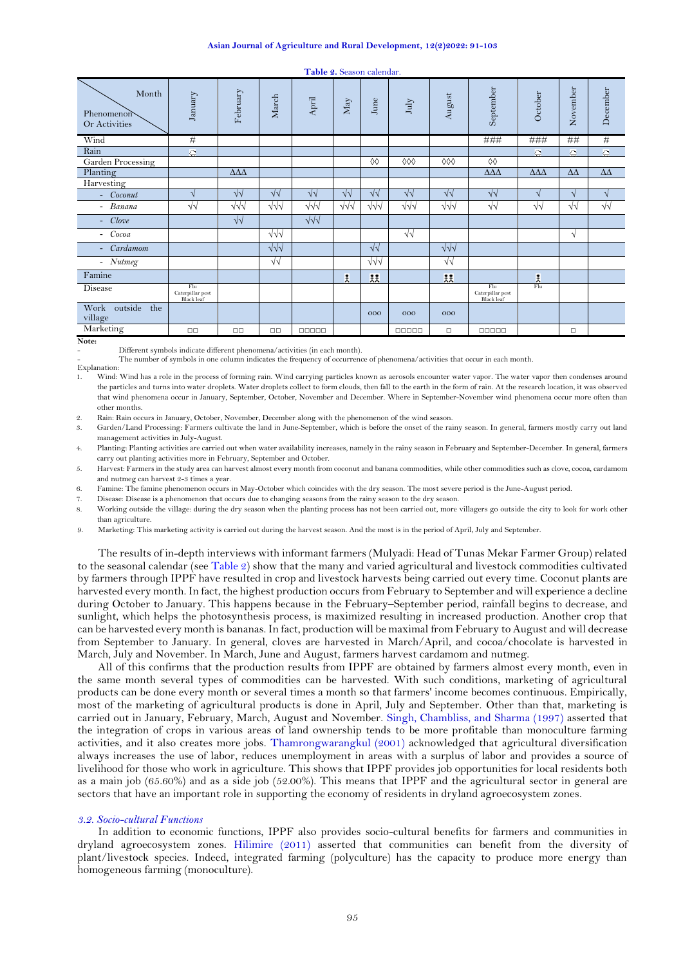|  |  | Table 2. Season calendar. |  |  |  |
|--|--|---------------------------|--|--|--|
|--|--|---------------------------|--|--|--|

<span id="page-4-0"></span>

| Month<br>Phenomenon<br>Or Activities | January                               | February             | March       | April      | May        | June                | July       | August     | September                             | October              | November       | December       |
|--------------------------------------|---------------------------------------|----------------------|-------------|------------|------------|---------------------|------------|------------|---------------------------------------|----------------------|----------------|----------------|
| Wind                                 | #                                     |                      |             |            |            |                     |            |            | ###                                   | ###                  | ##             | $\#$           |
| Rain                                 | $\circ$                               |                      |             |            |            |                     |            |            |                                       | $\circ$              | $\circledcirc$ | $\circ$        |
| Garden Processing                    |                                       |                      |             |            |            | $\Diamond \Diamond$ | 000        | 000        | $\Diamond \Diamond$                   |                      |                |                |
| Planting                             |                                       | $\Delta\Delta\Delta$ |             |            |            |                     |            |            | $\Delta \Delta \Delta$                | $\Delta\Delta\Delta$ | $\Delta\Delta$ | $\Delta\Delta$ |
| Harvesting                           |                                       |                      |             |            |            |                     |            |            |                                       |                      |                |                |
| - Coconut                            | N                                     | $\sqrt{2}$           | $\sqrt{v}$  | $\sqrt{2}$ | $\sqrt{2}$ | $\sqrt{v}$          | $\sqrt{2}$ | $\sqrt{2}$ | $\sqrt{2}$                            | $\mathbf{A}$         | $\sqrt{ }$     | $\sqrt{ }$     |
| - Banana                             | $\sqrt{2}$                            | $\sqrt{v}$           | $\sqrt{v}$  | $\sqrt{v}$ | $\sqrt{v}$ | $\sqrt{\sqrt{}}$    | $\sqrt{v}$ | $\sqrt{v}$ | $\sqrt{2}$                            | $\sqrt{2}$           | √√             | $\sqrt{2}$     |
| Clove<br>$\sim$                      |                                       | $\sqrt{2}$           |             | $\sqrt{d}$ |            |                     |            |            |                                       |                      |                |                |
| Cocoa<br>$\overline{\phantom{0}}$    |                                       |                      | $\sqrt{v}$  |            |            |                     | $\sqrt{2}$ |            |                                       |                      | V              |                |
| Cardamom<br>$\overline{\phantom{a}}$ |                                       |                      | $\sqrt{v}$  |            |            | $\sqrt{2}$          |            | $\sqrt{v}$ |                                       |                      |                |                |
| - Nutmeg                             |                                       |                      | $\sqrt{2}$  |            |            | $\sqrt{\sqrt{}}$    |            | $\sqrt{2}$ |                                       |                      |                |                |
| Famine                               |                                       |                      |             |            | £          | 麸                   |            | 扶          |                                       | £                    |                |                |
| Disease                              | Flu<br>Caterpillar pest<br>Black leaf |                      |             |            |            |                     |            |            | Flu<br>Caterpillar pest<br>Black leaf | Flu                  |                |                |
| Work outside<br>the<br>village       |                                       |                      |             |            |            | 000                 | 000        | 000        |                                       |                      |                |                |
| Marketing                            | $\Box$                                | $\Box$ Box           | $\Box \Box$ | 00000      |            |                     | 00000      | $\Box$     | $\Box$                                |                      | $\Box$         |                |

**Note:**

- Different symbols indicate different phenomena/activities (in each month).

The number of symbols in one column indicates the frequency of occurrence of phenomena/activities that occur in each month.

Explanation:

1. Wind: Wind has a role in the process of forming rain. Wind carrying particles known as aerosols encounter water vapor. The water vapor then condenses around the particles and turns into water droplets. Water droplets collect to form clouds, then fall to the earth in the form of rain. At the research location, it was observed that wind phenomena occur in January, September, October, November and December. Where in September-November wind phenomena occur more often than other months.

2. Rain: Rain occurs in January, October, November, December along with the phenomenon of the wind season.

3. Garden/Land Processing: Farmers cultivate the land in June-September, which is before the onset of the rainy season. In general, farmers mostly carry out land management activities in July-August.

4. Planting: Planting activities are carried out when water availability increases, namely in the rainy season in February and September-December. In general, farmers carry out planting activities more in February, September and October.

5. Harvest: Farmers in the study area can harvest almost every month from coconut and banana commodities, while other commodities such as clove, cocoa, cardamom and nutmeg can harvest 2-3 times a year.

6. Famine: The famine phenomenon occurs in May-October which coincides with the dry season. The most severe period is the June-August period.

7. Disease: Disease is a phenomenon that occurs due to changing seasons from the rainy season to the dry season.

8. Working outside the village: during the dry season when the planting process has not been carried out, more villagers go outside the city to look for work other than agriculture.

9. Marketing: This marketing activity is carried out during the harvest season. And the most is in the period of April, July and September.

The results of in-depth interviews with informant farmers (Mulyadi: Head of Tunas Mekar Farmer Group) related to the seasonal calendar (see [Table](#page-4-0) 2) show that the many and varied agricultural and livestock commodities cultivated by farmers through IPPF have resulted in crop and livestock harvests being carried out every time. Coconut plants are harvested every month. In fact, the highest production occurs from February to September and will experience a decline during October to January. This happens because in the February–September period, rainfall begins to decrease, and sunlight, which helps the photosynthesis process, is maximized resulting in increased production. Another crop that can be harvested every month is bananas. In fact, production will be maximal from February to August and will decrease from September to January. In general, cloves are harvested in March/April, and cocoa/chocolate is harvested in March, July and November. In March, June and August, farmers harvest cardamom and nutmeg.

All of this confirms that the production results from IPPF are obtained by farmers almost every month, even in the same month several types of commodities can be harvested. With such conditions, marketing of agricultural products can be done every month or several times a month so that farmers' income becomes continuous. Empirically, most of the marketing of agricultural products is done in April, July and September. Other than that, marketing is carried out in January, February, March, August and November. [Singh, Chambliss, and Sharma \(1997\)](#page-12-9) asserted that the integration of crops in various areas of land ownership tends to be more profitable than monoculture farming activities, and it also creates more jobs. [Thamrongwarangkul \(2001\)](#page-12-10) acknowledged that agricultural diversification always increases the use of labor, reduces unemployment in areas with a surplus of labor and provides a source of livelihood for those who work in agriculture. This shows that IPPF provides job opportunities for local residents both as a main job (65.60%) and as a side job (52.00%). This means that IPPF and the agricultural sector in general are sectors that have an important role in supporting the economy of residents in dryland agroecosystem zones.

#### *3.2. Socio-cultural Functions*

In addition to economic functions, IPPF also provides socio-cultural benefits for farmers and communities in dryland agroecosystem zones. [Hilimire \(2011\)](#page-11-14) asserted that communities can benefit from the diversity of plant/livestock species. Indeed, integrated farming (polyculture) has the capacity to produce more energy than homogeneous farming (monoculture).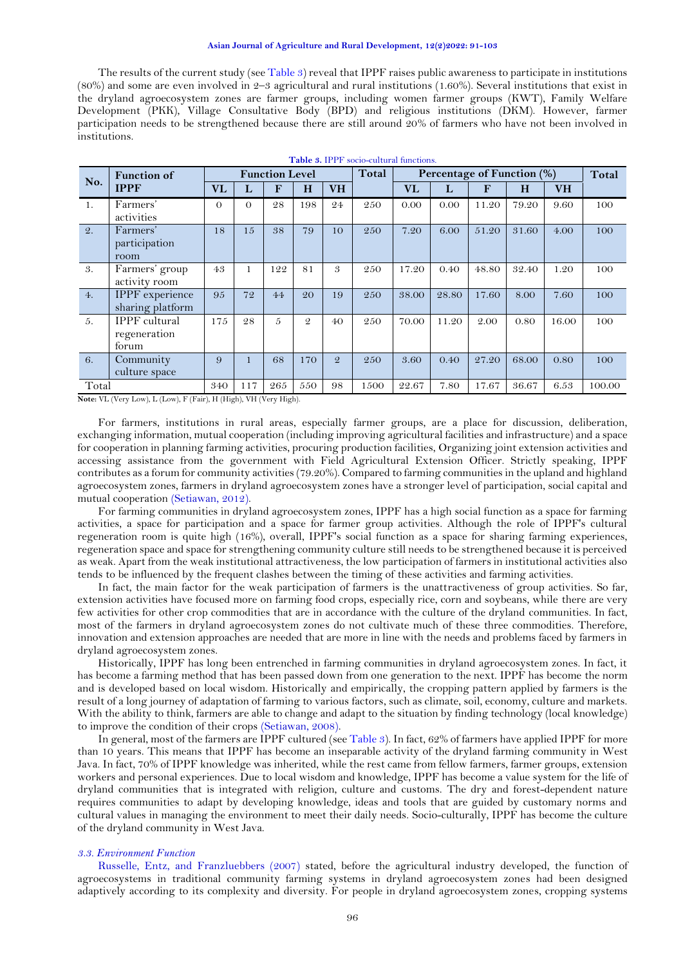The results of the current study (see [Table 3](#page-5-0)) reveal that IPPF raises public awareness to participate in institutions (80%) and some are even involved in 2–3 agricultural and rural institutions (1.60%). Several institutions that exist in the dryland agroecosystem zones are farmer groups, including women farmer groups (KWT), Family Welfare Development (PKK), Village Consultative Body (BPD) and religious institutions (DKM). However, farmer participation needs to be strengthened because there are still around 20% of farmers who have not been involved in institutions.

<span id="page-5-0"></span>

| Table 3. IPPF socio-cultural functions. |                                                                                                                                                                       |                       |          |                 |                |               |                            |           |       |       |       |           |        |
|-----------------------------------------|-----------------------------------------------------------------------------------------------------------------------------------------------------------------------|-----------------------|----------|-----------------|----------------|---------------|----------------------------|-----------|-------|-------|-------|-----------|--------|
| No.                                     | <b>Function of</b>                                                                                                                                                    | <b>Function Level</b> |          |                 |                | Total         | Percentage of Function (%) |           |       |       | Total |           |        |
|                                         | <b>IPPF</b>                                                                                                                                                           | <b>VL</b>             | L        | F               | H              | <b>VH</b>     |                            | <b>VL</b> | L     | F     | H     | <b>VH</b> |        |
| 1.                                      | Farmers'<br>activities                                                                                                                                                | $\Omega$              | $\Omega$ | 28              | 198            | 24            | 250                        | 0.00      | 0.00  | 11.20 | 79.20 | 9.60      | 100    |
| 2.                                      | Farmers'<br>participation<br>room                                                                                                                                     | 18                    | 15       | 38              | 79             | 10            | 250                        | 7.20      | 6.00  | 51.20 | 31.60 | 4.00      | 100    |
| 3.                                      | Farmers' group<br>activity room                                                                                                                                       | 43                    | 1        | 122             | 81             | 3             | 250                        | 17.20     | 0.40  | 48.80 | 32.40 | 1.20      | 100    |
| 4.                                      | <b>IPPF</b> experience<br>sharing platform                                                                                                                            | 95                    | 72       | 44              | 20             | 19            | 250                        | 38.00     | 28.80 | 17.60 | 8.00  | 7.60      | 100    |
| 5.                                      | <b>IPPF</b> cultural<br>regeneration<br>forum                                                                                                                         | 175                   | 28       | 5               | $\mathfrak{D}$ | 40            | 250                        | 70.00     | 11.20 | 2.00  | 0.80  | 16.00     | 100    |
| 6.                                      | Community<br>culture space                                                                                                                                            | 9                     |          | 68              | 170            | $\mathcal{Q}$ | 250                        | 3.60      | 0.40  | 27.20 | 68.00 | 0.80      | 100    |
| Total                                   | $\mathbf{r} = \mathbf{r} + \mathbf{r}$ , and $\mathbf{r} = \mathbf{r} + \mathbf{r}$ , $\mathbf{r} = \mathbf{r} + \mathbf{r}$ , $\mathbf{r} = \mathbf{r} + \mathbf{r}$ | 340                   | 117      | 265<br>$\cdots$ | 550            | 98            | 1500                       | 22.67     | 7.80  | 17.67 | 36.67 | 6.53      | 100.00 |

**Note:** VL (Very Low), L (Low), F (Fair), H (High), VH (Very High).

For farmers, institutions in rural areas, especially farmer groups, are a place for discussion, deliberation, exchanging information, mutual cooperation (including improving agricultural facilities and infrastructure) and a space for cooperation in planning farming activities, procuring production facilities, Organizing joint extension activities and accessing assistance from the government with Field Agricultural Extension Officer. Strictly speaking, IPPF contributes as a forum for community activities (79.20%). Compared to farming communities in the upland and highland agroecosystem zones, farmers in dryland agroecosystem zones have a stronger level of participation, social capital and mutual cooperation [\(Setiawan, 2012\)](#page-12-11).

For farming communities in dryland agroecosystem zones, IPPF has a high social function as a space for farming activities, a space for participation and a space for farmer group activities. Although the role of IPPF's cultural regeneration room is quite high (16%), overall, IPPF's social function as a space for sharing farming experiences, regeneration space and space for strengthening community culture still needs to be strengthened because it is perceived as weak. Apart from the weak institutional attractiveness, the low participation of farmers in institutional activities also tends to be influenced by the frequent clashes between the timing of these activities and farming activities.

In fact, the main factor for the weak participation of farmers is the unattractiveness of group activities. So far, extension activities have focused more on farming food crops, especially rice, corn and soybeans, while there are very few activities for other crop commodities that are in accordance with the culture of the dryland communities. In fact, most of the farmers in dryland agroecosystem zones do not cultivate much of these three commodities. Therefore, innovation and extension approaches are needed that are more in line with the needs and problems faced by farmers in dryland agroecosystem zones.

Historically, IPPF has long been entrenched in farming communities in dryland agroecosystem zones. In fact, it has become a farming method that has been passed down from one generation to the next. IPPF has become the norm and is developed based on local wisdom. Historically and empirically, the cropping pattern applied by farmers is the result of a long journey of adaptation of farming to various factors, such as climate, soil, economy, culture and markets. With the ability to think, farmers are able to change and adapt to the situation by finding technology (local knowledge) to improve the condition of their crops [\(Setiawan, 2008\)](#page-12-12).

In general, most of the farmers are IPPF cultured (see [Table 3](#page-5-0)). In fact, 62% of farmers have applied IPPF for more than 10 years. This means that IPPF has become an inseparable activity of the dryland farming community in West Java. In fact, 70% of IPPF knowledge was inherited, while the rest came from fellow farmers, farmer groups, extension workers and personal experiences. Due to local wisdom and knowledge, IPPF has become a value system for the life of dryland communities that is integrated with religion, culture and customs. The dry and forest-dependent nature requires communities to adapt by developing knowledge, ideas and tools that are guided by customary norms and cultural values in managing the environment to meet their daily needs. Socio-culturally, IPPF has become the culture of the dryland community in West Java.

#### *3.3. Environment Function*

[Russelle, Entz, and Franzluebbers \(2007\)](#page-11-15) stated, before the agricultural industry developed, the function of agroecosystems in traditional community farming systems in dryland agroecosystem zones had been designed adaptively according to its complexity and diversity. For people in dryland agroecosystem zones, cropping systems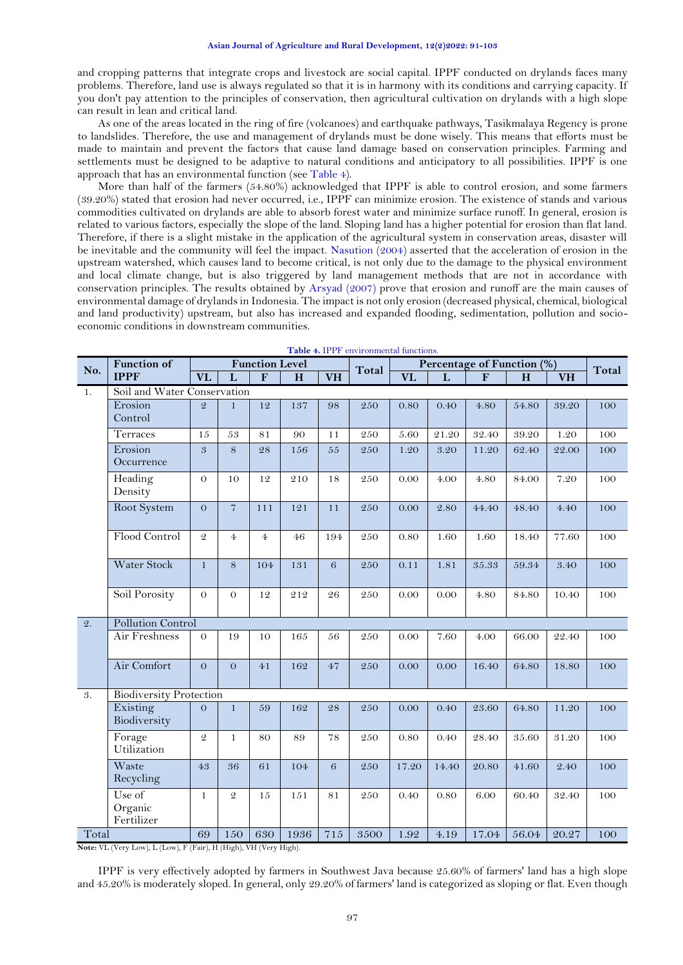and cropping patterns that integrate crops and livestock are social capital. IPPF conducted on drylands faces many problems. Therefore, land use is always regulated so that it is in harmony with its conditions and carrying capacity. If you don't pay attention to the principles of conservation, then agricultural cultivation on drylands with a high slope can result in lean and critical land.

As one of the areas located in the ring of fire (volcanoes) and earthquake pathways, Tasikmalaya Regency is prone to landslides. Therefore, the use and management of drylands must be done wisely. This means that efforts must be made to maintain and prevent the factors that cause land damage based on conservation principles. Farming and settlements must be designed to be adaptive to natural conditions and anticipatory to all possibilities. IPPF is one approach that has an environmental function (see [Table 4](#page-6-0)).

More than half of the farmers (54.80%) acknowledged that IPPF is able to control erosion, and some farmers (39.20%) stated that erosion had never occurred, i.e., IPPF can minimize erosion. The existence of stands and various commodities cultivated on drylands are able to absorb forest water and minimize surface runoff. In general, erosion is related to various factors, especially the slope of the land. Sloping land has a higher potential for erosion than flat land. Therefore, if there is a slight mistake in the application of the agricultural system in conservation areas, disaster will be inevitable and the community will feel the impact. [Nasution \(2004\)](#page-11-16) asserted that the acceleration of erosion in the upstream watershed, which causes land to become critical, is not only due to the damage to the physical environment and local climate change, but is also triggered by land management methods that are not in accordance with conservation principles. The results obtained by [Arsyad \(2007\)](#page-11-17) prove that erosion and runoff are the main causes of environmental damage of drylandsin Indonesia. The impact is not only erosion (decreased physical, chemical, biological and land productivity) upstream, but also has increased and expanded flooding, sedimentation, pollution and socioeconomic conditions in downstream communities.

<span id="page-6-0"></span>

|                | <b>Function of</b><br>No.       |                | <b>Function Level</b> |                |      |           |       | Percentage of Function (%) |       |             |       |           | Total |
|----------------|---------------------------------|----------------|-----------------------|----------------|------|-----------|-------|----------------------------|-------|-------------|-------|-----------|-------|
|                | <b>IPPF</b>                     | <b>VL</b>      | L                     | F              | H    | <b>VH</b> | Total | <b>VL</b>                  | L     | $\mathbf F$ | H     | <b>VH</b> |       |
| 1.             | Soil and Water Conservation     |                |                       |                |      |           |       |                            |       |             |       |           |       |
|                | Erosion<br>Control              | $\mathcal{Q}$  | $\mathbf{1}$          | 12             | 137  | 98        | 250   | 0.80                       | 0.40  | 4.80        | 54.80 | 39.20     | 100   |
|                | Terraces                        | 15             | 53                    | 81             | 90   | 11        | 250   | 5.60                       | 21.20 | 32.40       | 39.20 | 1.20      | 100   |
|                | Erosion<br>Occurrence           | 3              | 8                     | 28             | 156  | 55        | 250   | 1.20                       | 3.20  | 11.20       | 62.40 | 22.00     | 100   |
|                | Heading<br>Density              | $\overline{O}$ | 10                    | 12             | 210  | 18        | 250   | 0.00                       | 4.00  | 4.80        | 84.00 | 7.20      | 100   |
|                | Root System                     | $\Omega$       | $\overline{7}$        | 111            | 121  | 11        | 250   | 0.00                       | 2.80  | 44.40       | 48.40 | 4.40      | 100   |
|                | Flood Control                   | $\mathfrak{D}$ | $\overline{4}$        | $\overline{4}$ | 46   | 194       | 250   | 0.80                       | 1.60  | 1.60        | 18.40 | 77.60     | 100   |
|                | <b>Water Stock</b>              | $\mathbf{1}$   | 8                     | 104            | 131  | 6         | 250   | 0.11                       | 1.81  | 35.33       | 59.34 | 3.40      | 100   |
|                | Soil Porosity                   | $\theta$       | $\theta$              | 12             | 212  | 26        | 250   | 0.00                       | 0.00  | 4.80        | 84.80 | 10.40     | 100   |
| $\mathbf{Q}$ . | <b>Pollution Control</b>        |                |                       |                |      |           |       |                            |       |             |       |           |       |
|                | Air Freshness                   | $\overline{O}$ | 19                    | 10             | 165  | 56        | 250   | 0.00                       | 7.60  | 4.00        | 66.00 | 22.40     | 100   |
|                | Air Comfort                     | $\Omega$       | $\Omega$              | 41             | 162  | 47        | 250   | 0.00                       | 0.00  | 16.40       | 64.80 | 18.80     | 100   |
| 3.             | <b>Biodiversity Protection</b>  |                |                       |                |      |           |       |                            |       |             |       |           |       |
|                | Existing<br>Biodiversity        | $\Omega$       | $\mathbf{1}$          | 59             | 162  | 28        | 250   | 0.00                       | 0.40  | 23.60       | 64.80 | 11.20     | 100   |
|                | Forage<br>Utilization           | $\mathcal{Q}$  | $\mathbf{1}$          | 80             | 89   | 78        | 250   | 0.80                       | 0.40  | 28.40       | 35.60 | $3\,1.20$ | 100   |
|                | Waste<br>Recycling              | 4.3            | 36                    | 61             | 104  | 6         | 250   | 17.20                      | 14.40 | 20.80       | 41.60 | 2.40      | 100   |
|                | Use of<br>Organic<br>Fertilizer | $\mathbf{1}$   | $\overline{2}$        | 15             | 151  | 81        | 250   | 0.40                       | 0.80  | 6.00        | 60.40 | 32.40     | 100   |
| Total          |                                 | 69             | 150                   | 630            | 1936 | 715       | 3500  | 1.92                       | 4.19  | 17.04       | 56.04 | 20.27     | 100   |

**Table 4.** IPPF environmental functions.

**Note:** VL (Very Low), L (Low), F (Fair), H (High), VH (Very High).

IPPF is very effectively adopted by farmers in Southwest Java because 25.60% of farmers' land has a high slope and 45.20% is moderately sloped. In general, only 29.20% of farmers' land is categorized as sloping or flat. Even though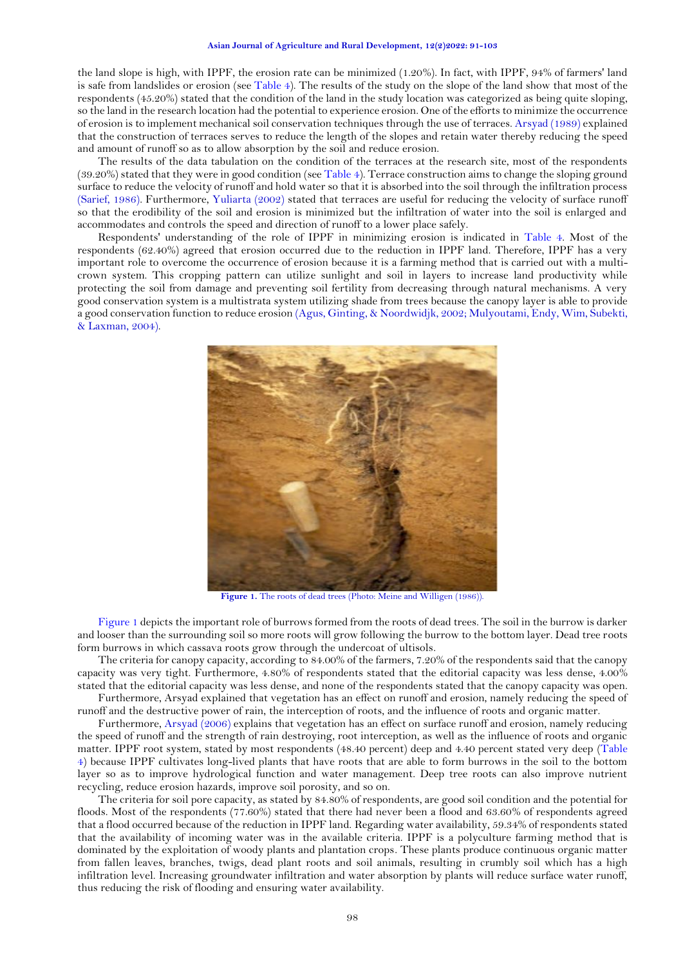the land slope is high, with IPPF, the erosion rate can be minimized (1.20%). In fact, with IPPF, 94% of farmers' land is safe from landslides or erosion (see [Table 4](#page-6-0)). The results of the study on the slope of the land show that most of the respondents (45.20%) stated that the condition of the land in the study location was categorized as being quite sloping, so the land in the research location had the potential to experience erosion. One of the efforts to minimize the occurrence of erosion is to implement mechanical soil conservation techniques through the use of terraces[. Arsyad \(1989\)](#page-11-18) explained that the construction of terraces serves to reduce the length of the slopes and retain water thereby reducing the speed and amount of runoff so as to allow absorption by the soil and reduce erosion.

The results of the data tabulation on the condition of the terraces at the research site, most of the respondents (39.20%) stated that they were in good condition (see [Table 4](#page-6-0)). Terrace construction aims to change the sloping ground surface to reduce the velocity of runoff and hold water so that it is absorbed into the soil through the infiltration process [\(Sarief, 1986\)](#page-11-19). Furthermore, [Yuliarta \(2002\)](#page-12-13) stated that terraces are useful for reducing the velocity of surface runoff so that the erodibility of the soil and erosion is minimized but the infiltration of water into the soil is enlarged and accommodates and controls the speed and direction of runoff to a lower place safely.

Respondents' understanding of the role of IPPF in minimizing erosion is indicated in [Table 4](#page-6-0). Most of the respondents (62.40%) agreed that erosion occurred due to the reduction in IPPF land. Therefore, IPPF has a very important role to overcome the occurrence of erosion because it is a farming method that is carried out with a multicrown system. This cropping pattern can utilize sunlight and soil in layers to increase land productivity while protecting the soil from damage and preventing soil fertility from decreasing through natural mechanisms. A very good conservation system is a multistrata system utilizing shade from trees because the canopy layer is able to provide a good conservation function to reduce erosion [\(Agus, Ginting, & Noordwidjk, 2002;](#page-11-20) [Mulyoutami, Endy, Wim, Subekti,](#page-11-21)  [& Laxman, 2004\)](#page-11-21).



Figure 1. The roots of dead trees (Photo[: Meine and Willigen \(1986\)\)](#page-11-22).

<span id="page-7-0"></span>[Figure 1](#page-7-0) depicts the important role of burrows formed from the roots of dead trees. The soil in the burrow is darker and looser than the surrounding soil so more roots will grow following the burrow to the bottom layer. Dead tree roots form burrows in which cassava roots grow through the undercoat of ultisols.

The criteria for canopy capacity, according to 84.00% of the farmers, 7.20% of the respondents said that the canopy capacity was very tight. Furthermore, 4.80% of respondents stated that the editorial capacity was less dense, 4.00% stated that the editorial capacity was less dense, and none of the respondents stated that the canopy capacity was open. Furthermore, Arsyad explained that vegetation has an effect on runoff and erosion, namely reducing the speed of

runoff and the destructive power of rain, the interception of roots, and the influence of roots and organic matter.

Furthermore, [Arsyad \(2006\)](#page-11-23) explains that vegetation has an effect on surface runoff and erosion, namely reducing the speed of runoff and the strength of rain destroying, root interception, as well as the influence of roots and organic matter. IPPF root system, stated by most respondents (48.40 percent) deep and 4.40 percent stated very deep [\(Table](#page-6-0)  4) because IPPF cultivates long-lived plants that have roots that are able to form burrows in the soil to the bottom layer so as to improve hydrological function and water management. Deep tree roots can also improve nutrient recycling, reduce erosion hazards, improve soil porosity, and so on.

The criteria for soil pore capacity, as stated by 84.80% of respondents, are good soil condition and the potential for floods. Most of the respondents (77.60%) stated that there had never been a flood and 63.60% of respondents agreed that a flood occurred because of the reduction in IPPF land. Regarding water availability, 59.34% of respondents stated that the availability of incoming water was in the available criteria. IPPF is a polyculture farming method that is dominated by the exploitation of woody plants and plantation crops. These plants produce continuous organic matter from fallen leaves, branches, twigs, dead plant roots and soil animals, resulting in crumbly soil which has a high infiltration level. Increasing groundwater infiltration and water absorption by plants will reduce surface water runoff, thus reducing the risk of flooding and ensuring water availability.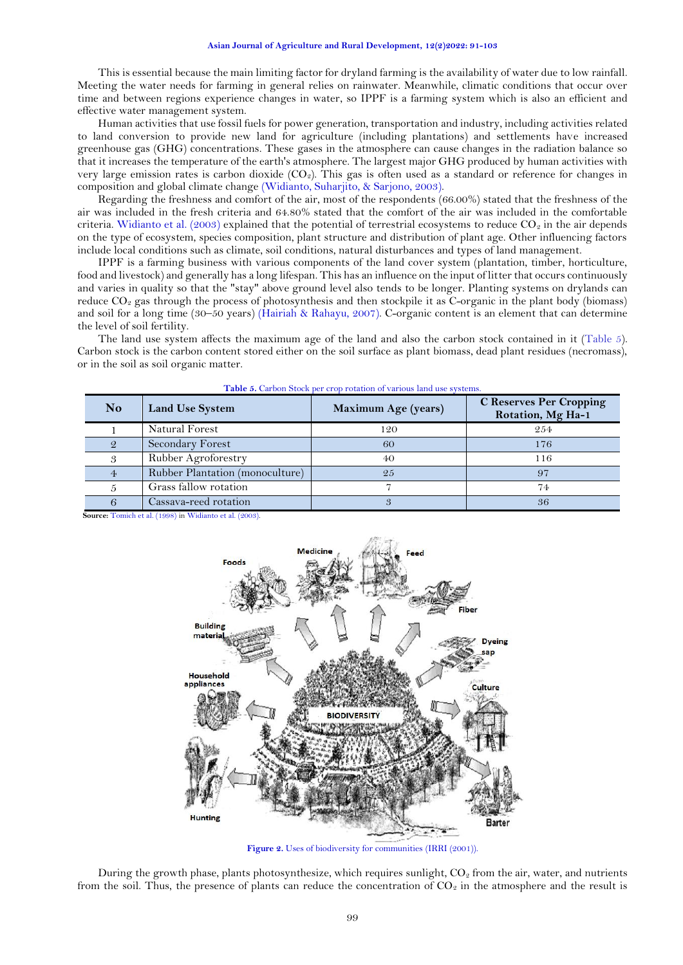#### **Asian Journal of Agriculture and Rural Development, 12(2)2022: 91-103**

This is essential because the main limiting factor for dryland farming is the availability of water due to low rainfall. Meeting the water needs for farming in general relies on rainwater. Meanwhile, climatic conditions that occur over time and between regions experience changes in water, so IPPF is a farming system which is also an efficient and effective water management system.

Human activities that use fossil fuels for power generation, transportation and industry, including activities related to land conversion to provide new land for agriculture (including plantations) and settlements have increased greenhouse gas (GHG) concentrations. These gases in the atmosphere can cause changes in the radiation balance so that it increases the temperature of the earth's atmosphere. The largest major GHG produced by human activities with very large emission rates is carbon dioxide  $(CO<sub>2</sub>)$ . This gas is often used as a standard or reference for changes in composition and global climate change [\(Widianto, Suharjito, & Sarjono, 2003\)](#page-12-14).

Regarding the freshness and comfort of the air, most of the respondents (66.00%) stated that the freshness of the air was included in the fresh criteria and 64.80% stated that the comfort of the air was included in the comfortable criteria. [Widianto et al. \(2003\)](#page-12-14) explained that the potential of terrestrial ecosystems to reduce  $CO_2$  in the air depends on the type of ecosystem, species composition, plant structure and distribution of plant age. Other influencing factors include local conditions such as climate, soil conditions, natural disturbances and types of land management.

IPPF is a farming business with various components of the land cover system (plantation, timber, horticulture, food and livestock) and generally has a long lifespan. This has an influence on the input of litter that occurs continuously and varies in quality so that the "stay" above ground level also tends to be longer. Planting systems on drylands can reduce  $CO<sub>2</sub>$  gas through the process of photosynthesis and then stockpile it as C-organic in the plant body (biomass) and soil for a long time (30–50 years) [\(Hairiah & Rahayu, 2007\)](#page-11-24). C-organic content is an element that can determine the level of soil fertility.

The land use system affects the maximum age of the land and also the carbon stock contained in it (Table 5). Carbon stock is the carbon content stored either on the soil surface as plant biomass, dead plant residues (necromass), or in the soil as soil organic matter.

| <b>No</b> | <b>Land Use System</b>          | <b>Maximum Age (years)</b> | <b>C</b> Reserves Per Cropping<br>Rotation, Mg Ha-1 |
|-----------|---------------------------------|----------------------------|-----------------------------------------------------|
|           | Natural Forest                  | 120                        | 2.54                                                |
|           | Secondary Forest                | 60                         | 176                                                 |
|           | Rubber Agroforestry             | 40                         | 116                                                 |
|           | Rubber Plantation (monoculture) | 2.5                        | 97                                                  |
|           | Grass fallow rotation           |                            | 74                                                  |
|           | Cassava-reed rotation           |                            | 36                                                  |

**Table 5.** Carbon Stock per crop rotation of various land use systems.

**Source:** [Tomich et al. \(1998\)](#page-12-15) in Widianto [et al. \(2003\).](#page-12-14)



**Figure 2.** Uses of biodiversity for communities [\(IRRI \(2001\)\)](#page-11-25).

<span id="page-8-0"></span>During the growth phase, plants photosynthesize, which requires sunlight,  $CO<sub>2</sub>$  from the air, water, and nutrients from the soil. Thus, the presence of plants can reduce the concentration of  $CO<sub>2</sub>$  in the atmosphere and the result is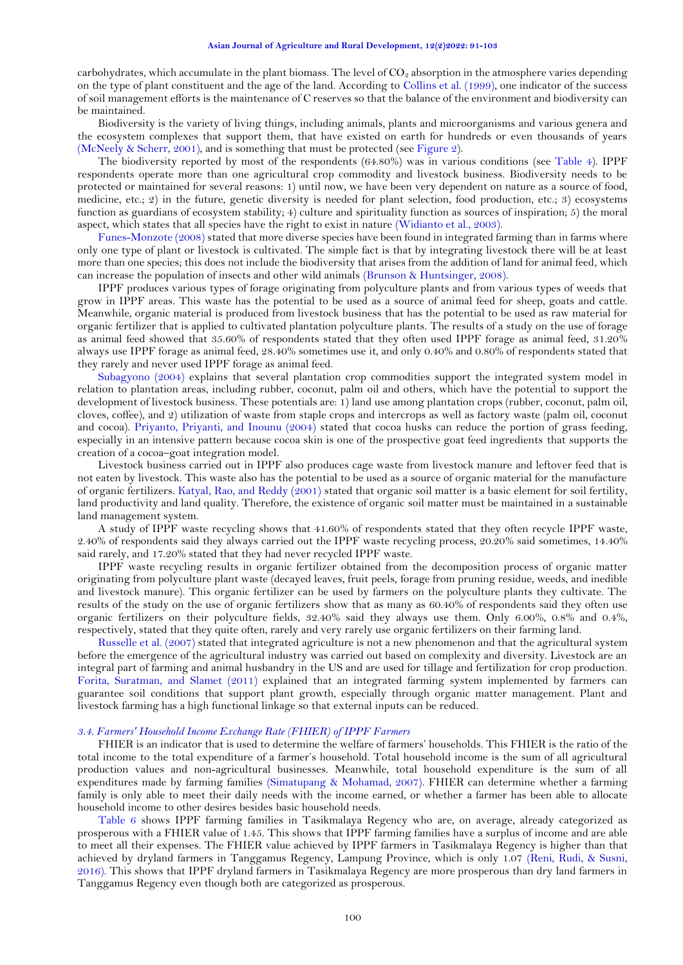carbohydrates, which accumulate in the plant biomass. The level of  $CO<sub>2</sub>$  absorption in the atmosphere varies depending on the type of plant constituent and the age of the land. According to [Collins et al. \(1999\)](#page-11-26), one indicator of the success of soil management efforts is the maintenance of C reserves so that the balance of the environment and biodiversity can be maintained.

Biodiversity is the variety of living things, including animals, plants and microorganisms and various genera and the ecosystem complexes that support them, that have existed on earth for hundreds or even thousands of years [\(McNeely & Scherr, 2001\)](#page-11-27), and is something that must be protected (see [Figure 2](#page-8-0)).

The biodiversity reported by most of the respondents (64.80%) was in various conditions (see [Table 4](#page-6-0)). IPPF respondents operate more than one agricultural crop commodity and livestock business. Biodiversity needs to be protected or maintained for several reasons: 1) until now, we have been very dependent on nature as a source of food, medicine, etc.; 2) in the future, genetic diversity is needed for plant selection, food production, etc.; 3) ecosystems function as guardians of ecosystem stability; 4) culture and spirituality function as sources of inspiration; 5) the moral aspect, which states that all species have the right to exist in nature [\(Widianto et al., 2003\)](#page-12-14).

[Funes-Monzote \(2008\)](#page-11-28) stated that more diverse species have been found in integrated farming than in farms where only one type of plant or livestock is cultivated. The simple fact is that by integrating livestock there will be at least more than one species; this does not include the biodiversity that arises from the addition of land for animal feed, which can increase the population of insects and other wild animals [\(Brunson & Huntsinger, 2008\)](#page-11-29).

IPPF produces various types of forage originating from polyculture plants and from various types of weeds that grow in IPPF areas. This waste has the potential to be used as a source of animal feed for sheep, goats and cattle. Meanwhile, organic material is produced from livestock business that has the potential to be used as raw material for organic fertilizer that is applied to cultivated plantation polyculture plants. The results of a study on the use of forage as animal feed showed that 35.60% of respondents stated that they often used IPPF forage as animal feed, 31.20% always use IPPF forage as animal feed, 28.40% sometimes use it, and only 0.40% and 0.80% of respondents stated that they rarely and never used IPPF forage as animal feed.

[Subagyono \(2004\)](#page-12-16) explains that several plantation crop commodities support the integrated system model in relation to plantation areas, including rubber, coconut, palm oil and others, which have the potential to support the development of livestock business. These potentials are: 1) land use among plantation crops (rubber, coconut, palm oil, cloves, coffee), and 2) utilization of waste from staple crops and intercrops as well as factory waste (palm oil, coconut and cocoa). [Priyanto, Priyanti, and Inounu \(2004\)](#page-11-30) stated that cocoa husks can reduce the portion of grass feeding, especially in an intensive pattern because cocoa skin is one of the prospective goat feed ingredients that supports the creation of a cocoa–goat integration model.

Livestock business carried out in IPPF also produces cage waste from livestock manure and leftover feed that is not eaten by livestock. This waste also has the potential to be used as a source of organic material for the manufacture of organic fertilizers. [Katyal, Rao, and Reddy \(2001\)](#page-11-31) stated that organic soil matter is a basic element for soil fertility, land productivity and land quality. Therefore, the existence of organic soil matter must be maintained in a sustainable land management system.

A study of IPPF waste recycling shows that 41.60% of respondents stated that they often recycle IPPF waste, 2.40% of respondents said they always carried out the IPPF waste recycling process, 20.20% said sometimes, 14.40% said rarely, and 17.20% stated that they had never recycled IPPF waste.

IPPF waste recycling results in organic fertilizer obtained from the decomposition process of organic matter originating from polyculture plant waste (decayed leaves, fruit peels, forage from pruning residue, weeds, and inedible and livestock manure). This organic fertilizer can be used by farmers on the polyculture plants they cultivate. The results of the study on the use of organic fertilizers show that as many as 60.40% of respondents said they often use organic fertilizers on their polyculture fields, 32.40% said they always use them. Only 6.00%, 0.8% and 0.4%, respectively, stated that they quite often, rarely and very rarely use organic fertilizers on their farming land.

[Russelle et al. \(2007\)](#page-11-15) stated that integrated agriculture is not a new phenomenon and that the agricultural system before the emergence of the agricultural industry was carried out based on complexity and diversity. Livestock are an integral part of farming and animal husbandry in the US and are used for tillage and fertilization for crop production. [Forita, Suratman, and Slamet \(2011\)](#page-11-32) explained that an integrated farming system implemented by farmers can guarantee soil conditions that support plant growth, especially through organic matter management. Plant and livestock farming has a high functional linkage so that external inputs can be reduced.

## *3.4. Farmers' Household Income Exchange Rate (FHIER) of IPPF Farmers*

FHIER is an indicator that is used to determine the welfare of farmers' households. This FHIER is the ratio of the total income to the total expenditure of a farmer's household. Total household income is the sum of all agricultural production values and non-agricultural businesses. Meanwhile, total household expenditure is the sum of all expenditures made by farming families [\(Simatupang & Mohamad, 2007\)](#page-12-17). FHIER can determine whether a farming family is only able to meet their daily needs with the income earned, or whether a farmer has been able to allocate household income to other desires besides basic household needs.

[Table 6](#page-10-0) shows IPPF farming families in Tasikmalaya Regency who are, on average, already categorized as prosperous with a FHIER value of 1.45. This shows that IPPF farming families have a surplus of income and are able to meet all their expenses. The FHIER value achieved by IPPF farmers in Tasikmalaya Regency is higher than that achieved by dryland farmers in Tanggamus Regency, Lampung Province, which is only 1.07 [\(Reni, Rudi, &](#page-11-33) Susni, [2016\)](#page-11-33). This shows that IPPF dryland farmers in Tasikmalaya Regency are more prosperous than dry land farmers in Tanggamus Regency even though both are categorized as prosperous.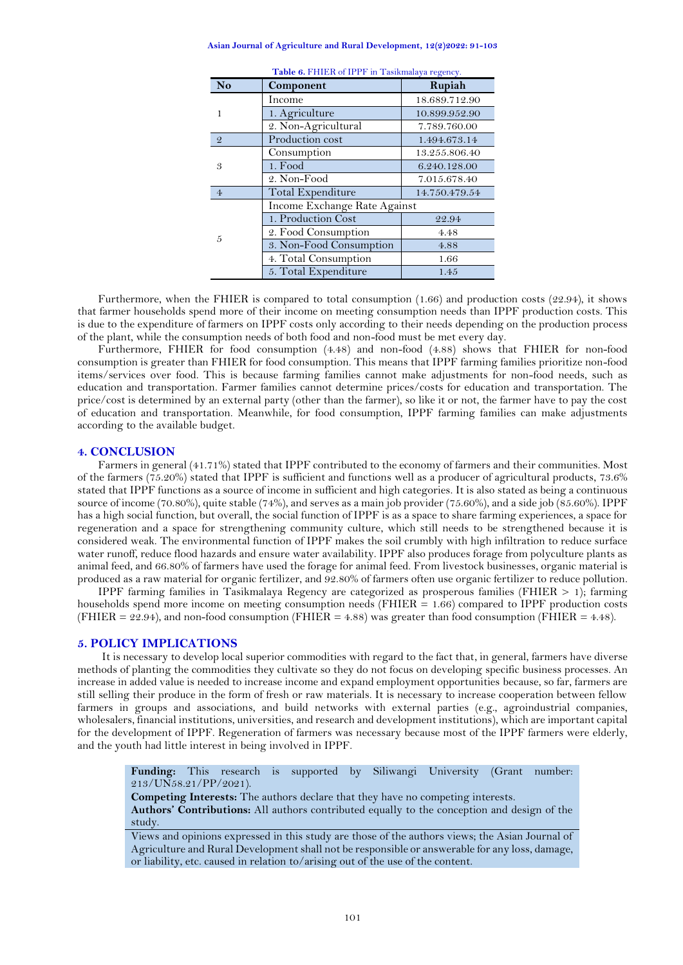| Asian Journal of Agriculture and Rural Development, 12(2)2022: 91-103 |  |  |  |  |
|-----------------------------------------------------------------------|--|--|--|--|
|-----------------------------------------------------------------------|--|--|--|--|

<span id="page-10-0"></span>

| <b>No</b>      | <b>raone of Friend of H</b> F II The numeric function $\theta$<br>Component | Rupiah        |
|----------------|-----------------------------------------------------------------------------|---------------|
|                | Income                                                                      | 18.689.712.90 |
| 1              | 1. Agriculture                                                              | 10.899.952.90 |
|                | 2. Non-Agricultural                                                         | 7.789.760.00  |
| $\mathcal{Q}$  | Production cost                                                             | 1.494.673.14  |
|                | Consumption                                                                 | 13.255.806.40 |
| 3              | 1. Food                                                                     | 6.240.128.00  |
|                | 2. Non-Food                                                                 | 7.015.678.40  |
| $\overline{4}$ | Total Expenditure                                                           | 14.750.479.54 |
|                | Income Exchange Rate Against                                                |               |
|                | 1. Production Cost                                                          | 22.94         |
| 5              | 2. Food Consumption                                                         | 4.48          |
|                | 3. Non-Food Consumption                                                     | 4.88          |
|                | 4. Total Consumption                                                        | 1.66          |
|                | 5. Total Expenditure                                                        | 1.45          |

| Table 6. FHIER of IPPF in Tasikmalaya regency. |  |  |  |
|------------------------------------------------|--|--|--|
|                                                |  |  |  |

Furthermore, when the FHIER is compared to total consumption (1.66) and production costs (22.94), it shows that farmer households spend more of their income on meeting consumption needs than IPPF production costs. This is due to the expenditure of farmers on IPPF costs only according to their needs depending on the production process of the plant, while the consumption needs of both food and non-food must be met every day.

Furthermore, FHIER for food consumption (4.48) and non-food (4.88) shows that FHIER for non-food consumption is greater than FHIER for food consumption. This means that IPPF farming families prioritize non-food items/services over food. This is because farming families cannot make adjustments for non-food needs, such as education and transportation. Farmer families cannot determine prices/costs for education and transportation. The price/cost is determined by an external party (other than the farmer), so like it or not, the farmer have to pay the cost of education and transportation. Meanwhile, for food consumption, IPPF farming families can make adjustments according to the available budget.

#### **4. CONCLUSION**

Farmers in general (41.71%) stated that IPPF contributed to the economy of farmers and their communities. Most of the farmers (75.20%) stated that IPPF is sufficient and functions well as a producer of agricultural products, 73.6% stated that IPPF functions as a source of income in sufficient and high categories. It is also stated as being a continuous source of income (70.80%), quite stable (74%), and serves as a main job provider (75.60%), and a side job (85.60%). IPPF has a high social function, but overall, the social function of IPPF is as a space to share farming experiences, a space for regeneration and a space for strengthening community culture, which still needs to be strengthened because it is considered weak. The environmental function of IPPF makes the soil crumbly with high infiltration to reduce surface water runoff, reduce flood hazards and ensure water availability. IPPF also produces forage from polyculture plants as animal feed, and 66.80% of farmers have used the forage for animal feed. From livestock businesses, organic material is produced as a raw material for organic fertilizer, and 92.80% of farmers often use organic fertilizer to reduce pollution.

IPPF farming families in Tasikmalaya Regency are categorized as prosperous families (FHIER > 1); farming households spend more income on meeting consumption needs ( $FHIER = 1.66$ ) compared to IPPF production costs (FHIER =  $22.94$ ), and non-food consumption (FHIER =  $4.88$ ) was greater than food consumption (FHIER =  $4.48$ ).

## **5. POLICY IMPLICATIONS**

It is necessary to develop local superior commodities with regard to the fact that, in general, farmers have diverse methods of planting the commodities they cultivate so they do not focus on developing specific business processes. An increase in added value is needed to increase income and expand employment opportunities because, so far, farmers are still selling their produce in the form of fresh or raw materials. It is necessary to increase cooperation between fellow farmers in groups and associations, and build networks with external parties (e.g., agroindustrial companies, wholesalers, financial institutions, universities, and research and development institutions), which are important capital for the development of IPPF. Regeneration of farmers was necessary because most of the IPPF farmers were elderly, and the youth had little interest in being involved in IPPF.

**Funding:** This research is supported by Siliwangi University (Grant number: 213/UN58.21/PP/2021).

**Competing Interests:** The authors declare that they have no competing interests. **Authors' Contributions:** All authors contributed equally to the conception and design of the study.

Views and opinions expressed in this study are those of the authors views; the Asian Journal of Agriculture and Rural Development shall not be responsible or answerable for any loss, damage, or liability, etc. caused in relation to/arising out of the use of the content.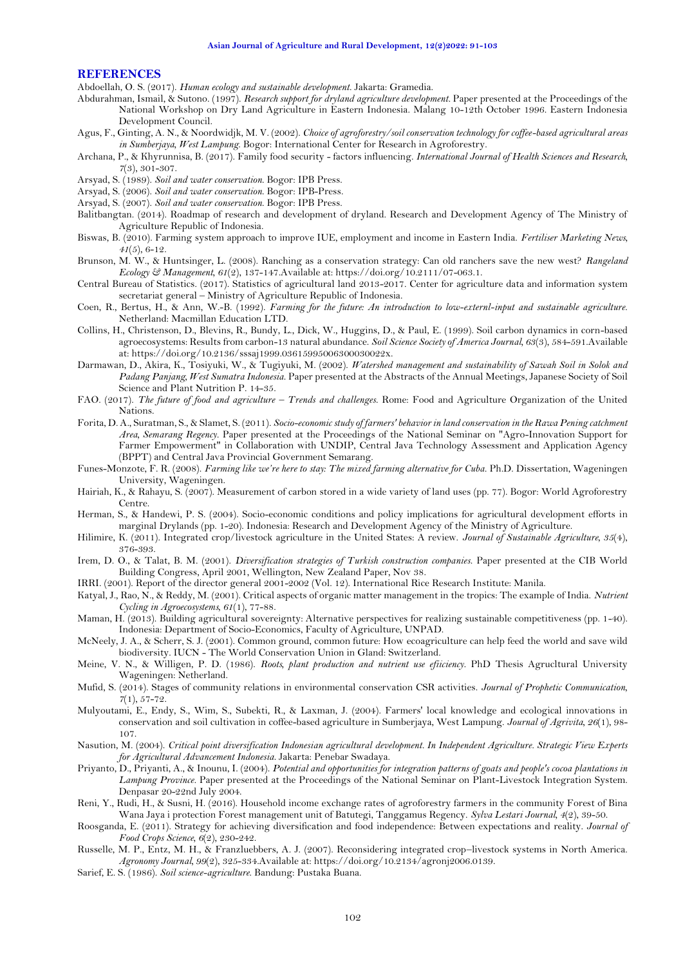#### **REFERENCES**

<span id="page-11-9"></span>Abdoellah, O. S. (2017). *Human ecology and sustainable development*. Jakarta: Gramedia.

<span id="page-11-11"></span>Abdurahman, Ismail, & Sutono. (1997). *Research support for dryland agriculture development.* Paper presented at the Proceedings of the National Workshop on Dry Land Agriculture in Eastern Indonesia. Malang 10-12th October 1996. Eastern Indonesia Development Council.

- <span id="page-11-20"></span>Agus, F., Ginting, A. N., & Noordwidjk, M. V. (2002). *Choice of agroforestry/soil conservation technology for coffee-based agricultural areas in Sumberjaya, West Lampung*. Bogor: International Center for Research in Agroforestry.
- <span id="page-11-0"></span>Archana, P., & Khyrunnisa, B. (2017). Family food security - factors influencing. *International Journal of Health Sciences and Research, 7*(3), 301-307.
- <span id="page-11-18"></span>Arsyad, S. (1989). *Soil and water conservation*. Bogor: IPB Press.
- <span id="page-11-23"></span>Arsyad, S. (2006). *Soil and water conservation*. Bogor: IPB-Press.
- <span id="page-11-17"></span>Arsyad, S. (2007). *Soil and water conservation*. Bogor: IPB Press.
- <span id="page-11-2"></span>Balitbangtan. (2014). Roadmap of research and development of dryland. Research and Development Agency of The Ministry of Agriculture Republic of Indonesia.
- <span id="page-11-13"></span>Biswas, B. (2010). Farming system approach to improve IUE, employment and income in Eastern India. *Fertiliser Marketing News, 41*(5), 6-12.
- <span id="page-11-29"></span>Brunson, M. W., & Huntsinger, L. (2008). Ranching as a conservation strategy: Can old ranchers save the new west? *Rangeland Ecology & Management, 61*(2), 137-147.Available at: https://doi.org/10.2111/07-063.1.
- <span id="page-11-6"></span>Central Bureau of Statistics. (2017). Statistics of agricultural land 2013-2017. Center for agriculture data and information system secretariat general – Ministry of Agriculture Republic of Indonesia.
- <span id="page-11-12"></span>Coen, R., Bertus, H., & Ann, W.-B. (1992). *Farming for the future: An introduction to low-externl-input and sustainable agriculture*. Netherland: Macmillan Education LTD.
- <span id="page-11-26"></span>Collins, H., Christenson, D., Blevins, R., Bundy, L., Dick, W., Huggins, D., & Paul, E. (1999). Soil carbon dynamics in corn-based agroecosystems: Results from carbon-13 natural abundance. *Soil Science Society of America Journal, 63*(3), 584-591.Available at: https://doi.org/10.2136/sssaj1999.03615995006300030022x.
- <span id="page-11-3"></span>Darmawan, D., Akira, K., Tosiyuki, W., & Tugiyuki, M. (2002). *Watershed management and sustainability of Sawah Soil in Solok and Padang Panjang, West Sumatra Indonesia*. Paper presented at the Abstracts of the Annual Meetings, Japanese Society of Soil Science and Plant Nutrition P. 14-35.
- <span id="page-11-4"></span>FAO. (2017). *The future of food and agriculture – Trends and challenges*. Rome: Food and Agriculture Organization of the United Nations.
- <span id="page-11-32"></span>Forita, D. A., Suratman, S., & Slamet, S. (2011). *Socio-economic study of farmers' behavior in land conservation in the Rawa Pening catchment Area, Semarang Regency.* Paper presented at the Proceedings of the National Seminar on "Agro-Innovation Support for Farmer Empowerment" in Collaboration with UNDIP, Central Java Technology Assessment and Application Agency (BPPT) and Central Java Provincial Government Semarang.
- <span id="page-11-28"></span>Funes-Monzote, F. R. (2008). *Farming like we're here to stay: The mixed farming alternative for Cuba.* Ph.D. Dissertation, Wageningen University, Wageningen.
- <span id="page-11-24"></span>Hairiah, K., & Rahayu, S. (2007). Measurement of carbon stored in a wide variety of land uses (pp. 77). Bogor: World Agroforestry Centre.
- <span id="page-11-8"></span>Herman, S., & Handewi, P. S. (2004). Socio-economic conditions and policy implications for agricultural development efforts in marginal Drylands (pp. 1-20). Indonesia: Research and Development Agency of the Ministry of Agriculture.
- <span id="page-11-14"></span>Hilimire, K. (2011). Integrated crop/livestock agriculture in the United States: A review. *Journal of Sustainable Agriculture, 35*(4), 376-393.
- <span id="page-11-1"></span>Irem, D. O., & Talat, B. M. (2001). *Diversification strategies of Turkish construction companies*. Paper presented at the CIB World Building Congress, April 2001, Wellington, New Zealand Paper, Nov 38.
- <span id="page-11-25"></span>IRRI. (2001). Report of the director general 2001-2002 (Vol. 12). International Rice Research Institute: Manila.
- <span id="page-11-31"></span>Katyal, J., Rao, N., & Reddy, M. (2001). Critical aspects of organic matter management in the tropics: The example of India. *Nutrient Cycling in Agroecosystems, 61*(1), 77-88.
- <span id="page-11-7"></span>Maman, H. (2013). Building agricultural sovereignty: Alternative perspectives for realizing sustainable competitiveness (pp. 1-40). Indonesia: Department of Socio-Economics, Faculty of Agriculture, UNPAD.
- <span id="page-11-27"></span>McNeely, J. A., & Scherr, S. J. (2001). Common ground, common future: How ecoagriculture can help feed the world and save wild biodiversity. IUCN - The World Conservation Union in Gland: Switzerland.
- <span id="page-11-22"></span>Meine, V. N., & Willigen, P. D. (1986). *Roots, plant production and nutrient use efiiciency.* PhD Thesis Agrucltural University Wageningen: Netherland.
- <span id="page-11-10"></span>Mufid, S. (2014). Stages of community relations in environmental conservation CSR activities. *Journal of Prophetic Communication, 7*(1), 57-72.
- <span id="page-11-21"></span>Mulyoutami, E., Endy, S., Wim, S., Subekti, R., & Laxman, J. (2004). Farmers' local knowledge and ecological innovations in conservation and soil cultivation in coffee-based agriculture in Sumberjaya, West Lampung. *Journal of Agrivita, 26*(1), 98- 107.
- <span id="page-11-16"></span>Nasution, M. (2004). *Critical point diversification Indonesian agricultural development. In Independent Agriculture. Strategic View Experts for Agricultural Advancement Indonesia*. Jakarta: Penebar Swadaya.
- <span id="page-11-30"></span>Priyanto, D., Priyanti, A., & Inounu, I. (2004). *Potential and opportunities for integration patterns of goats and people's cocoa plantations in Lampung Province.* Paper presented at the Proceedings of the National Seminar on Plant-Livestock Integration System. Denpasar 20-22nd July 2004.
- <span id="page-11-33"></span>Reni, Y., Rudi, H., & Susni, H. (2016). Household income exchange rates of agroforestry farmers in the community Forest of Bina Wana Jaya i protection Forest management unit of Batutegi, Tanggamus Regency. *Sylva Lestari Journal, 4*(2), 39-50.
- <span id="page-11-5"></span>Roosganda, E. (2011). Strategy for achieving diversification and food independence: Between expectations and reality. *Journal of Food Crops Science, 6*(2), 230-242.
- <span id="page-11-15"></span>Russelle, M. P., Entz, M. H., & Franzluebbers, A. J. (2007). Reconsidering integrated crop–livestock systems in North America. *Agronomy Journal, 99*(2), 325-334.Available at: https://doi.org/10.2134/agronj2006.0139.
- <span id="page-11-19"></span>Sarief, E. S. (1986). *Soil science-agriculture*. Bandung: Pustaka Buana.